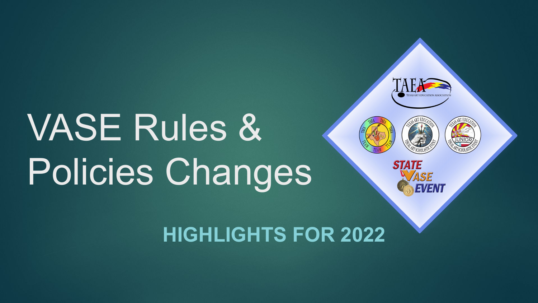# VASE Rules & Policies Changes



ASE

EVENT

**STATE** 

## **HIGHLIGHTS FOR 2022**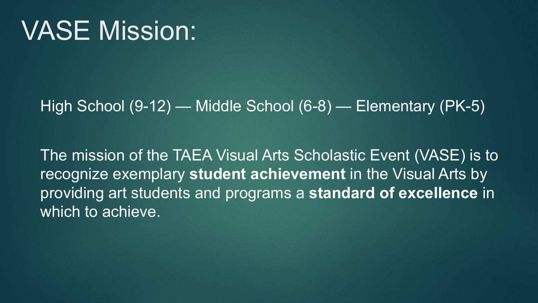# VASE Mission:

### High School (9-12) — Middle School (6-8) — Elementary (PK-5)

The mission of the TAEA Visual Arts Scholastic Event (VASE) is to recognize exemplary **student achievement** in the Visual Arts by providing art students and programs a **standard of excellence** in which to achieve.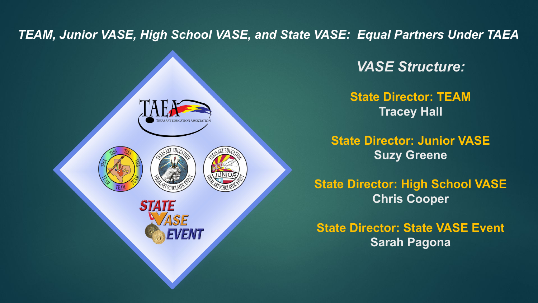*TEAM, Junior VASE, High School VASE, and State VASE: Equal Partners Under TAEA*



*VASE Structure:*

**State Director: TEAM Tracey Hall**

**State Director: Junior VASE Suzy Greene**

**State Director: High School VASE Chris Cooper**

**State Director: State VASE Event Sarah Pagona**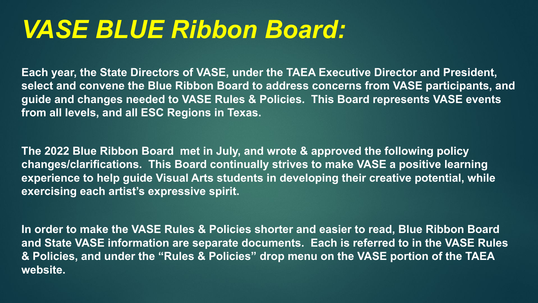# *VASE BLUE Ribbon Board:*

**Each year, the State Directors of VASE, under the TAEA Executive Director and President, select and convene the Blue Ribbon Board to address concerns from VASE participants, and guide and changes needed to VASE Rules & Policies. This Board represents VASE events from all levels, and all ESC Regions in Texas.**

**The 2022 Blue Ribbon Board met in July, and wrote & approved the following policy changes/clarifications. This Board continually strives to make VASE a positive learning experience to help guide Visual Arts students in developing their creative potential, while exercising each artist's expressive spirit.**

**In order to make the VASE Rules & Policies shorter and easier to read, Blue Ribbon Board and State VASE information are separate documents. Each is referred to in the VASE Rules & Policies, and under the "Rules & Policies" drop menu on the VASE portion of the TAEA website.**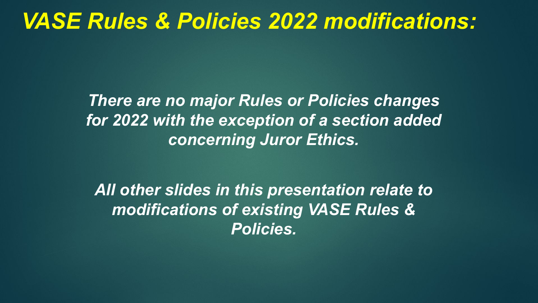*There are no major Rules or Policies changes for 2022 with the exception of a section added concerning Juror Ethics.*

*All other slides in this presentation relate to modifications of existing VASE Rules & Policies.*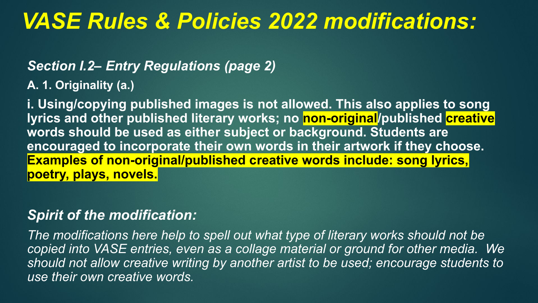#### *Section I.2– Entry Regulations (page 2)*

**A. 1. Originality (a.)**

**i. Using/copying published images is not allowed. This also applies to song lyrics and other published literary works; no non-original/published creative words should be used as either subject or background. Students are encouraged to incorporate their own words in their artwork if they choose. Examples of non-original/published creative words include: song lyrics, poetry, plays, novels.**

#### *Spirit of the modification:*

*The modifications here help to spell out what type of literary works should not be copied into VASE entries, even as a collage material or ground for other media. We should not allow creative writing by another artist to be used; encourage students to use their own creative words.*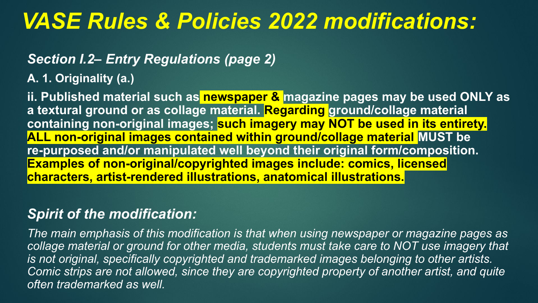#### *Section I.2– Entry Regulations (page 2)*

**A. 1. Originality (a.)**

**ii. Published material such as newspaper & magazine pages may be used ONLY as a textural ground or as collage material. Regarding ground/collage material containing non-original images; such imagery may NOT be used in its entirety. ALL non-original images contained within ground/collage material MUST be re-purposed and/or manipulated well beyond their original form/composition. Examples of non-original/copyrighted images include: comics, licensed characters, artist-rendered illustrations, anatomical illustrations.**

#### *Spirit of the modification:*

*The main emphasis of this modification is that when using newspaper or magazine pages as*  collage material or ground for other media, students must take care to NOT use imagery that *is not original, specifically copyrighted and trademarked images belonging to other artists. Comic strips are not allowed, since they are copyrighted property of another artist, and quite often trademarked as well.*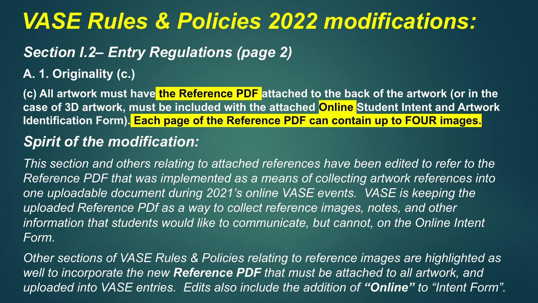### *Section I.2– Entry Regulations (page 2)*

#### **A. 1. Originality (c.)**

**(c) All artwork must have the Reference PDF attached to the back of the artwork (or in the case of 3D artwork, must be included with the attached Online Student Intent and Artwork Identification Form). Each page of the Reference PDF can contain up to FOUR images.**

### *Spirit of the modification:*

*This section and others relating to attached references have been edited to refer to the Reference PDF that was implemented as a means of collecting artwork references into one uploadable document during 2021's online VASE events. VASE is keeping the uploaded Reference PDf as a way to collect reference images, notes, and other*  information that students would like to communicate, but cannot, on the Online Intent *Form.*

*Other sections of VASE Rules & Policies relating to reference images are highlighted as well to incorporate the new Reference PDF that must be attached to all artwork, and uploaded into VASE entries. Edits also include the addition of "Online" to "Intent Form".*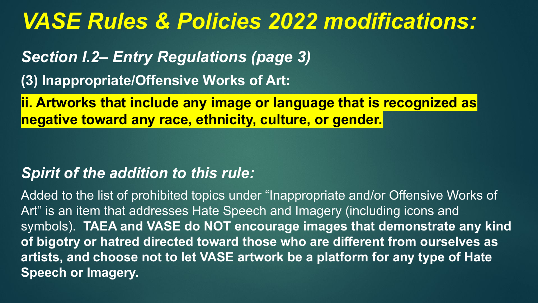*Section I.2– Entry Regulations (page 3)*

**(3) Inappropriate/Offensive Works of Art:** 

**ii. Artworks that include any image or language that is recognized as negative toward any race, ethnicity, culture, or gender.**

### *Spirit of the addition to this rule:*

Added to the list of prohibited topics under "Inappropriate and/or Offensive Works of Art" is an item that addresses Hate Speech and Imagery (including icons and symbols). **TAEA and VASE do NOT encourage images that demonstrate any kind of bigotry or hatred directed toward those who are different from ourselves as artists, and choose not to let VASE artwork be a platform for any type of Hate Speech or Imagery.**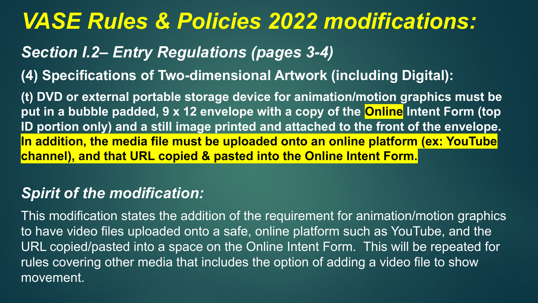### *Section I.2– Entry Regulations (pages 3-4)*

**(4) Specifications of Two-dimensional Artwork (including Digital):**

**(t) DVD or external portable storage device for animation/motion graphics must be put in a bubble padded, 9 x 12 envelope with a copy of the Online Intent Form (top ID portion only) and a still image printed and attached to the front of the envelope. In addition, the media file must be uploaded onto an online platform (ex: YouTube channel), and that URL copied & pasted into the Online Intent Form.**

### *Spirit of the modification:*

This modification states the addition of the requirement for animation/motion graphics to have video files uploaded onto a safe, online platform such as YouTube, and the URL copied/pasted into a space on the Online Intent Form. This will be repeated for rules covering other media that includes the option of adding a video file to show movement.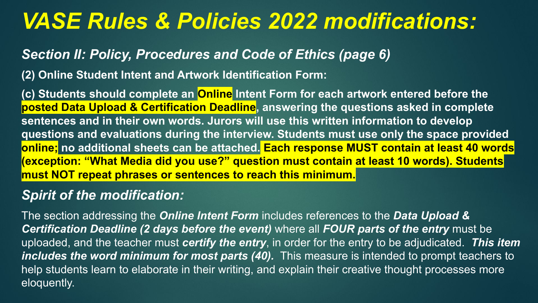#### *Section II: Policy, Procedures and Code of Ethics (page 6)*

**(2) Online Student Intent and Artwork Identification Form:**

**(c) Students should complete an Online Intent Form for each artwork entered before the posted Data Upload & Certification Deadline, answering the questions asked in complete sentences and in their own words. Jurors will use this written information to develop questions and evaluations during the interview. Students must use only the space provided online; no additional sheets can be attached. Each response MUST contain at least 40 words (exception: "What Media did you use?" question must contain at least 10 words). Students must NOT repeat phrases or sentences to reach this minimum.**

#### *Spirit of the modification:*

The section addressing the *Online Intent Form* includes references to the *Data Upload & Certification Deadline (2 days before the event)* where all *FOUR parts of the entry* must be uploaded, and the teacher must *certify the entry*, in order for the entry to be adjudicated. *This item includes the word minimum for most parts (40).* This measure is intended to prompt teachers to help students learn to elaborate in their writing, and explain their creative thought processes more eloquently.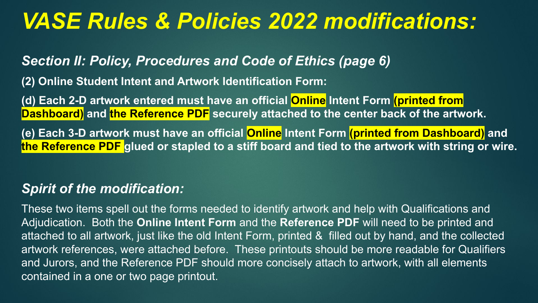#### *Section II: Policy, Procedures and Code of Ethics (page 6)*

**(2) Online Student Intent and Artwork Identification Form:**

**(d) Each 2-D artwork entered must have an official Online Intent Form (printed from Dashboard)** and the Reference PDF securely attached to the center back of the artwork.

**(e) Each 3-D artwork must have an official Online Intent Form (printed from Dashboard) and the Reference PDF glued or stapled to a stiff board and tied to the artwork with string or wire.**

#### *Spirit of the modification:*

These two items spell out the forms needed to identify artwork and help with Qualifications and Adjudication. Both the **Online Intent Form** and the **Reference PDF** will need to be printed and attached to all artwork, just like the old Intent Form, printed & filled out by hand, and the collected artwork references, were attached before. These printouts should be more readable for Qualifiers and Jurors, and the Reference PDF should more concisely attach to artwork, with all elements contained in a one or two page printout.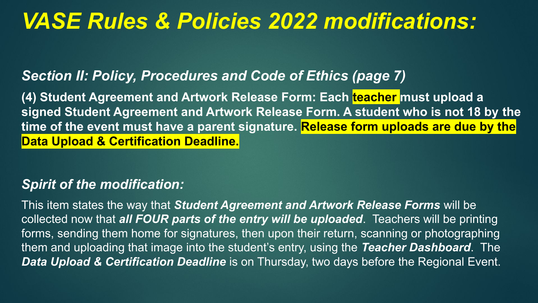### *Section II: Policy, Procedures and Code of Ethics (page 7)*

**(4) Student Agreement and Artwork Release Form: Each teacher must upload a signed Student Agreement and Artwork Release Form. A student who is not 18 by the time of the event must have a parent signature. Release form uploads are due by the Data Upload & Certification Deadline.**

#### *Spirit of the modification:*

This item states the way that *Student Agreement and Artwork Release Forms* will be collected now that *all FOUR parts of the entry will be uploaded*. Teachers will be printing forms, sending them home for signatures, then upon their return, scanning or photographing them and uploading that image into the student's entry, using the *Teacher Dashboard*. The *Data Upload & Certification Deadline* is on Thursday, two days before the Regional Event.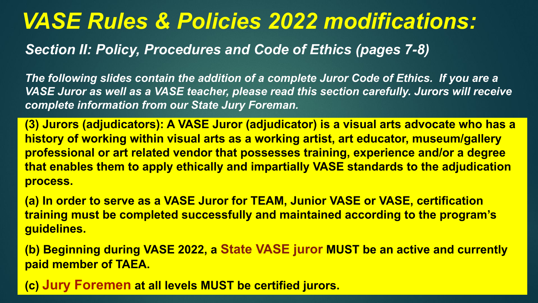*Section II: Policy, Procedures and Code of Ethics (pages 7-8)*

*The following slides contain the addition of a complete Juror Code of Ethics. If you are a VASE Juror as well as a VASE teacher, please read this section carefully. Jurors will receive complete information from our State Jury Foreman.*

**(3) Jurors (adjudicators): A VASE Juror (adjudicator) is a visual arts advocate who has a history of working within visual arts as a working artist, art educator, museum/gallery professional or art related vendor that possesses training, experience and/or a degree that enables them to apply ethically and impartially VASE standards to the adjudication process.** 

**(a) In order to serve as a VASE Juror for TEAM, Junior VASE or VASE, certification training must be completed successfully and maintained according to the program's guidelines.**

**(b) Beginning during VASE 2022, a State VASE juror MUST be an active and currently paid member of TAEA.**

**(c) Jury Foremen at all levels MUST be certified jurors.**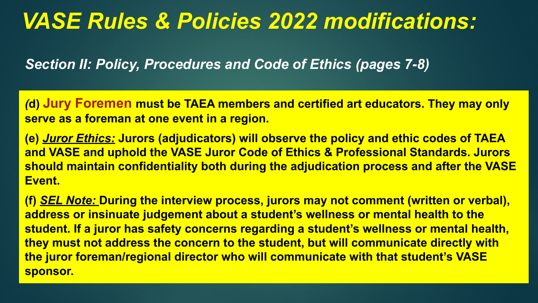*Section II: Policy, Procedures and Code of Ethics (pages 7-8)*

*(***d) Jury Foremen must be TAEA members and certified art educators. They may only serve as a foreman at one event in a region.** 

**(e)** *Juror Ethics:* **Jurors (adjudicators) will observe the policy and ethic codes of TAEA and VASE and uphold the VASE Juror Code of Ethics & Professional Standards. Jurors should maintain confidentiality both during the adjudication process and after the VASE Event.** 

**(f)** *SEL Note:* **During the interview process, jurors may not comment (written or verbal), address or insinuate judgement about a student's wellness or mental health to the student. If a juror has safety concerns regarding a student's wellness or mental health, they must not address the concern to the student, but will communicate directly with the juror foreman/regional director who will communicate with that student's VASE sponsor.**